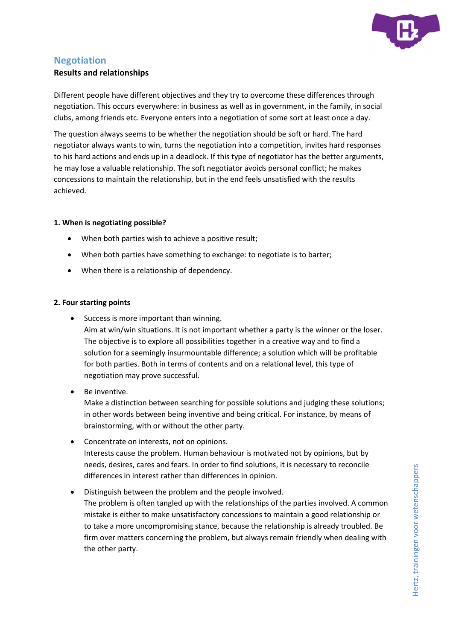

# Negotiation

### Results and relationships

Different people have different objectives and they try to overcome these differences through negotiation. This occurs everywhere: in business as well as in government, in the family, in social clubs, among friends etc. Everyone enters into a negotiation of some sort at least once a day.

The question always seems to be whether the negotiation should be soft or hard. The hard negotiator always wants to win, turns the negotiation into a competition, invites hard responses to his hard actions and ends up in a deadlock. If this type of negotiator has the better arguments, he may lose a valuable relationship. The soft negotiator avoids personal conflict; he makes concessions to maintain the relationship, but in the end feels unsatisfied with the results achieved.

### 1. When is negotiating possible?

- When both parties wish to achieve a positive result;
- When both parties have something to exchange: to negotiate is to barter;
- When there is a relationship of dependency.

#### 2. Four starting points

- Success is more important than winning. Aim at win/win situations. It is not important whether a party is the winner or the loser. The objective is to explore all possibilities together in a creative way and to find a solution for a seemingly insurmountable difference; a solution which will be profitable for both parties. Both in terms of contents and on a relational level, this type of negotiation may prove successful.
- Be inventive.

Make a distinction between searching for possible solutions and judging these solutions; in other words between being inventive and being critical. For instance, by means of brainstorming, with or without the other party.

- Concentrate on interests, not on opinions. Interests cause the problem. Human behaviour is motivated not by opinions, but by needs, desires, cares and fears. In order to find solutions, it is necessary to reconcile differences in interest rather than differences in opinion.
- Distinguish between the problem and the people involved. The problem is often tangled up with the relationships of the parties involved. A common mistake is either to make unsatisfactory concessions to maintain a good relationship or to take a more uncompromising stance, because the relationship is already troubled. Be firm over matters concerning the problem, but always remain friendly when dealing with the other party.